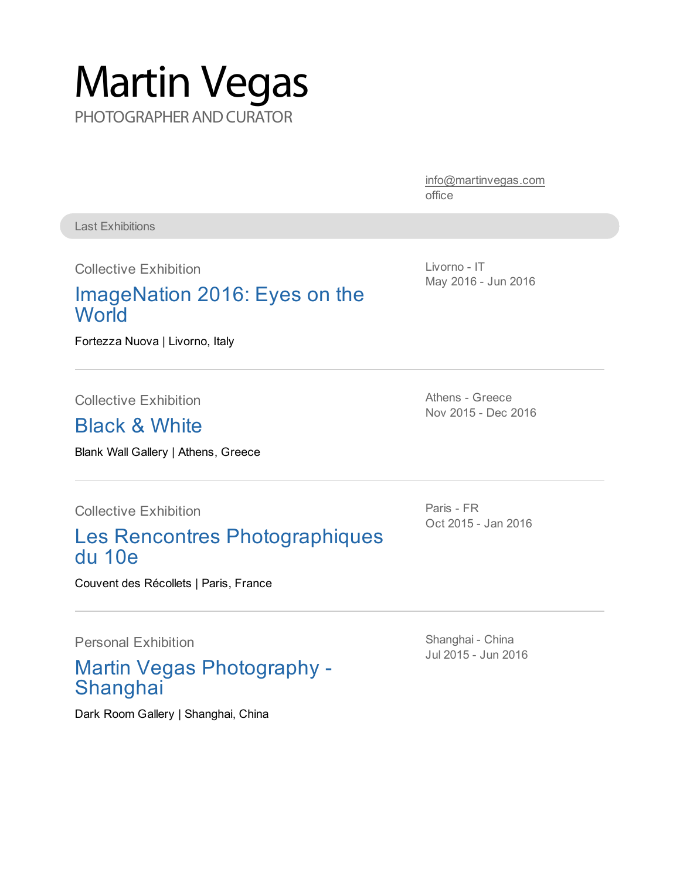# Martin Vegas PHOTOGRAPHER AND CURATOR

[info@martinvegas.com](mailto:info@martinvegas.com) office

Last Exhibitions

Collective Exhibition

#### [ImageNation](www.imagenation.it/livorno) 2016: Eyes on the **World**

Fortezza Nuova | Livorno, Italy

Collective Exhibition

#### Black & White

Blank Wall Gallery | Athens, Greece

Collective Exhibition

#### Les Rencontres Photographiques du 10e

Couvent des Récollets | Paris, France

Personal Exhibition

#### Martin Vegas Photography - **Shanghai**

Dark Room Gallery | Shanghai, China

Livorno - IT May 2016 - Jun 2016

Athens - Greece Nov 2015 - Dec 2016

Paris - FR Oct 2015 - Jan 2016

Shanghai - China Jul 2015 - Jun 2016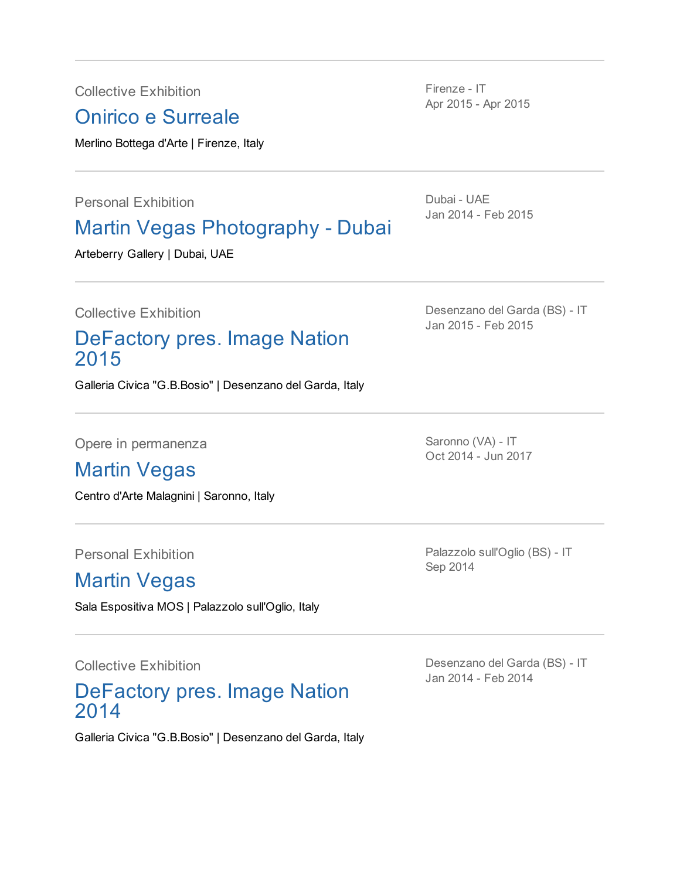Collective Exhibition

Onirico e Surreale

Merlino Bottega d'Arte | Firenze, Italy

Personal Exhibition

#### Martin Vegas Photography - Dubai

Arteberry Gallery | Dubai, UAE

Collective Exhibition

#### [DeFactory](http://www.imagenation.it/imagenation2015) pres. Image Nation 2015

Galleria Civica "G.B.Bosio" | Desenzano del Garda, Italy

Opere in permanenza

#### Martin Vegas

Centro d'Arte Malagnini | Saronno, Italy

Personal Exhibition

#### Martin Vegas

Sala Espositiva MOS | Palazzolo sull'Oglio, Italy

Collective Exhibition

#### DeFactory pres. Image Nation 2014

Galleria Civica "G.B.Bosio" | Desenzano del Garda, Italy

Firenze - IT Apr 2015 - Apr 2015

Dubai - UAE Jan 2014 - Feb 2015

Desenzano del Garda (BS) - IT Jan 2015 - Feb 2015

Saronno (VA) - IT Oct 2014 - Jun 2017

Palazzolo sull'Oglio (BS) - IT Sep 2014

Desenzano del Garda (BS) - IT Jan 2014 - Feb 2014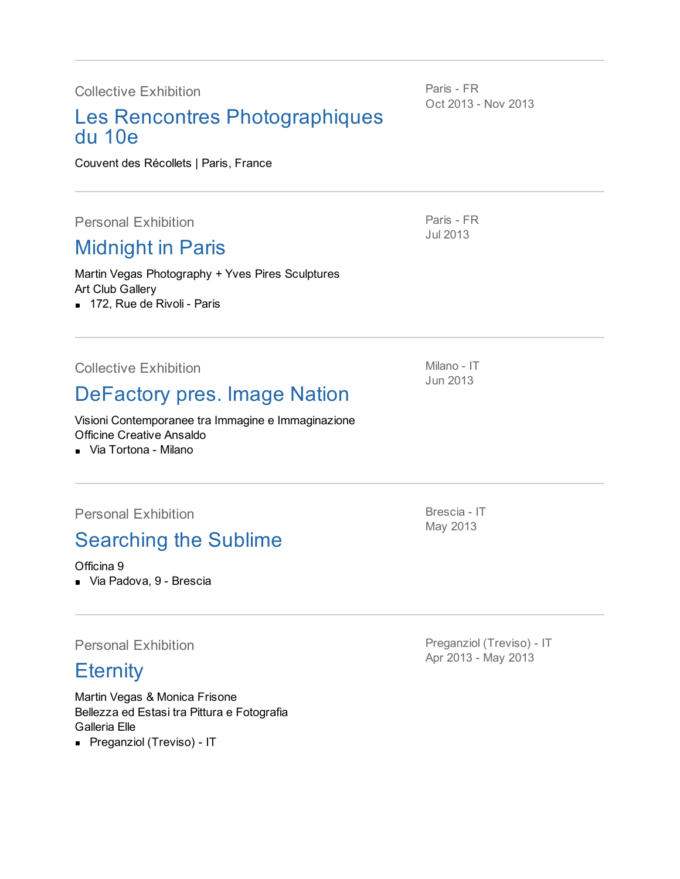Collective Exhibition

#### Les Rencontres Photographiques du 10e

Couvent des Récollets | Paris, France

Personal Exhibition

### [Midnight](http://www.clickblog.it/post/82227/midnight-in-paris-con-martin-vegas-e-yves-pires) in Paris

Martin Vegas Photography + Yves Pires Sculptures Art Club Gallery

**172, Rue de Rivoli - Paris** 

Paris - FR Oct 2013 - Nov 2013

Paris - FR Jul 2013

Collective Exhibition

#### [DeFactory](http://www.imagenation.it/imagenation-milano) pres. Image Nation

Visioni Contemporanee tra Immagine e Immaginazione Officine Creative Ansaldo

Via Tortona - Milano

Personal Exhibition

### [Searching](http://www.ilfattobresciano.it/?p=8960) the Sublime

Officina 9

Via Padova, 9 - Brescia

Personal Exhibition

#### **[Eternity](http://www.wsimagazine.com/it/diaries/agenda/arti/martin-vegas-e-monica-frisone-eternity_20130426115919.html#.UkCQc4aD7Qt)**

Martin Vegas & Monica Frisone Bellezza ed Estasi tra Pittura e Fotografia Galleria Elle

**Preganziol (Treviso) - IT** 

Brescia - IT May 2013

Preganziol (Treviso) - IT Apr 2013 - May 2013

Milano - IT Jun 2013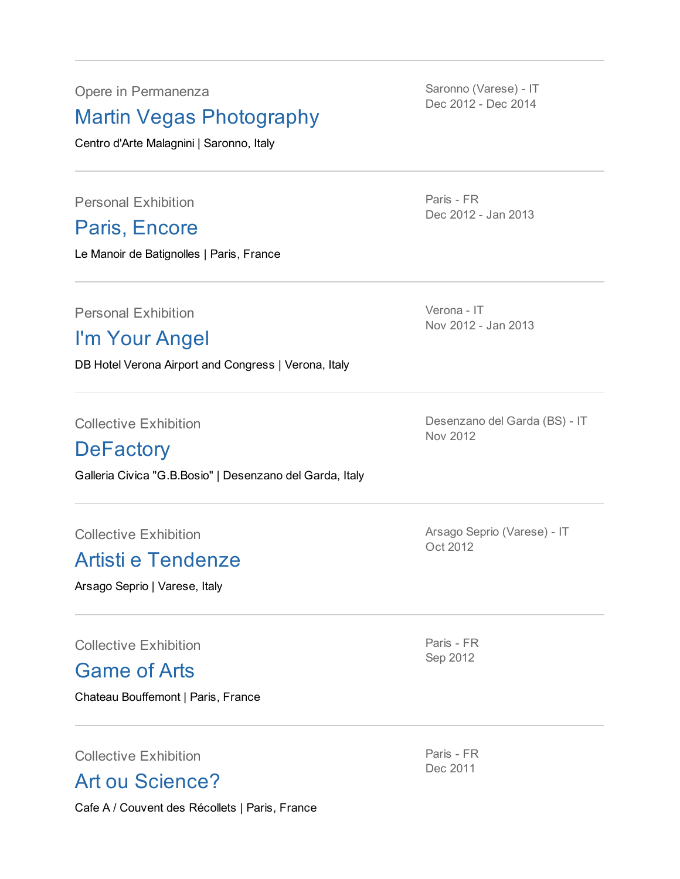Opere in Permanenza

#### Martin Vegas Photography

Centro d'Arte Malagnini | Saronno, Italy

Personal Exhibition

Paris, [Encore](http://www.clickblog.it/post/32581/paris-encore-dieci-anni-di-scatti-di-martin-vegas-al-manoir-des-batignolles)

Le Manoir de Batignolles | Paris, France

Saronno (Varese) - IT Dec 2012 - Dec 2014

Paris - FR Dec 2012 - Jan 2013

Personal Exhibition

### I'm Your Angel

DB Hotel Verona Airport and Congress | Verona, Italy

Collective Exhibition

#### **[DeFactory](http://www.ilcorrieredelgarda.info/2012/11/defactory-la-mostra-un-successo-per-14-fotografi-desenzanesi/)**

Galleria Civica "G.B.Bosio" | Desenzano del Garda, Italy

Collective Exhibition

#### Artisti e [Tendenze](http://www.artevarese.com/av/view/news.php?sys_tab=10000&sys_docid=8848&sjl=1)

Arsago Seprio | Varese, Italy

Collective Exhibition

[Game](http://www.clickblog.it/post/21787/martin-vegas-al-castello-di-bouffemont) of Arts

Chateau Bouffemont | Paris, France

Collective Exhibition

Art ou [Science?](http://www.facebook.com/events/216092631799174)

Cafe A / Couvent des Récollets | Paris, France

Nov 2012 - Jan 2013

Verona - IT

Desenzano del Garda (BS) - IT Nov 2012

Arsago Seprio (Varese) - IT Oct 2012

Paris - FR Sep 2012

Paris - FR Dec 2011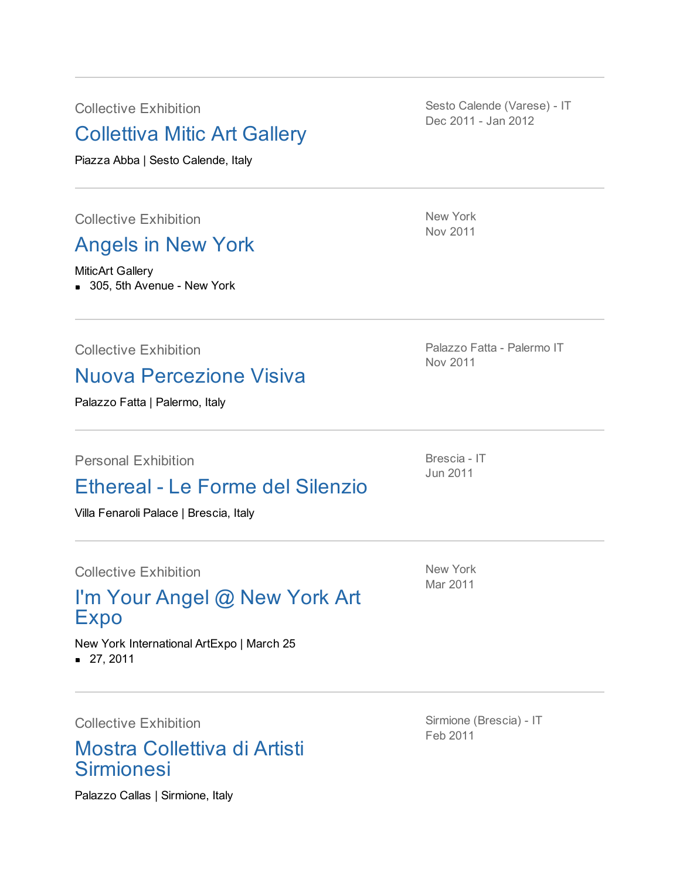Collective Exhibition

#### Collettiva Mitic Art Gallery

Piazza Abba | Sesto Calende, Italy

Collective Exhibition

#### [Angels](http://www.facebook.com/photo.php?fbid=10150385788995909&set=a.97992765908.86883.92945650908&type=1&theater) in New York

MiticArt Gallery

**305, 5th Avenue - New York** 

Collective Exhibition

#### Nuova [Percezione](http://www.exibart.com/profilo/eventiV2.asp?idelemento=115441) Visiva

Palazzo Fatta | Palermo, Italy

Personal Exhibition

#### Ethereal - Le Forme del Silenzio

Villa Fenaroli Palace | Brescia, Italy

Collective Exhibition

#### I'm Your Angel @ New York Art Expo

New York International ArtExpo | March 25 27, 2011

Collective Exhibition

#### Mostra Collettiva di Artisti Sirmionesi

Palazzo Callas | Sirmione, Italy

Sesto Calende (Varese) - IT Dec 2011 - Jan 2012

New York Nov 2011

Palazzo Fatta - Palermo IT Nov 2011

Brescia - IT Jun 2011

New York Mar 2011

Sirmione (Brescia) - IT Feb 2011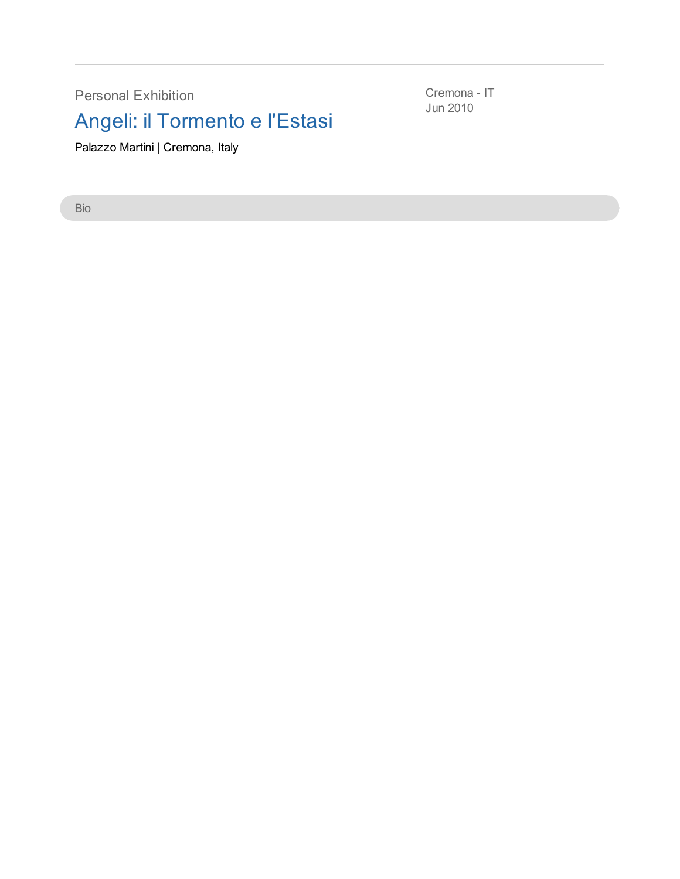Personal Exhibition

## Angeli: il Tormento e l'Estasi

Palazzo Martini | Cremona, Italy

Bio

Cremona - IT Jun 2010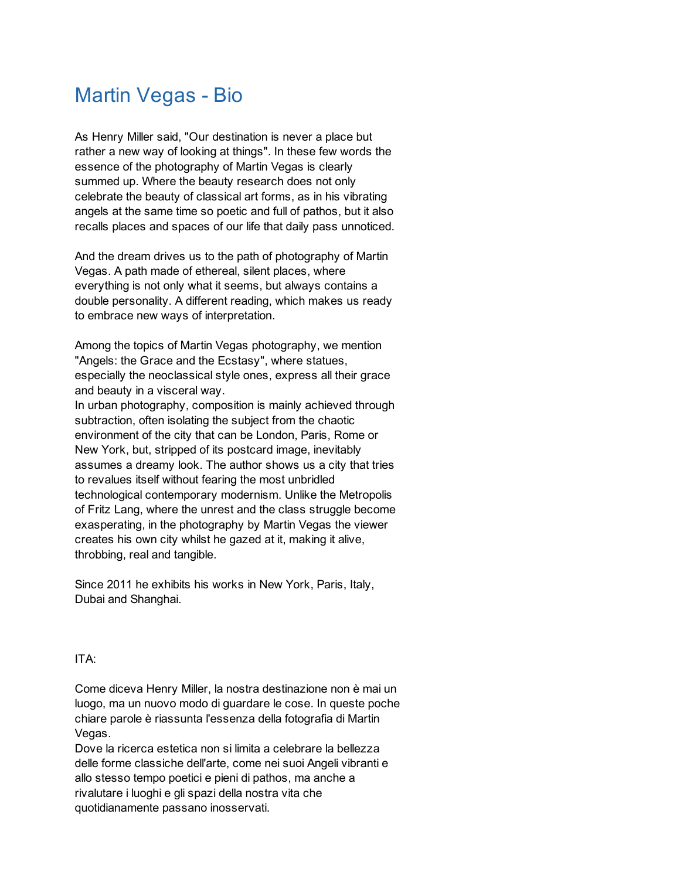#### Martin Vegas - Bio

As Henry Miller said, "Our destination is never a place but rather a new way of looking at things". In these few words the essence of the photography of Martin Vegas is clearly summed up. Where the beauty research does not only celebrate the beauty of classical art forms, as in his vibrating angels at the same time so poetic and full of pathos, but it also recalls places and spaces of our life that daily pass unnoticed.

And the dream drives us to the path of photography of Martin Vegas. A path made of ethereal, silent places, where everything is not only what it seems, but always contains a double personality. A different reading, which makes us ready to embrace new ways of interpretation.

Among the topics of Martin Vegas photography, we mention "Angels: the Grace and the Ecstasy", where statues, especially the neoclassical style ones, express all their grace and beauty in a visceral way.

In urban photography, composition is mainly achieved through subtraction, often isolating the subject from the chaotic environment of the city that can be London, Paris, Rome or New York, but, stripped of its postcard image, inevitably assumes a dreamy look. The author shows us a city that tries to revalues itself without fearing the most unbridled technological contemporary modernism. Unlike the Metropolis of Fritz Lang, where the unrest and the class struggle become exasperating, in the photography by Martin Vegas the viewer creates his own city whilst he gazed at it, making it alive, throbbing, real and tangible.

Since 2011 he exhibits his works in New York, Paris, Italy, Dubai and Shanghai.

#### ITA:

Come diceva Henry Miller, la nostra destinazione non è mai un luogo, ma un nuovo modo di guardare le cose. In queste poche chiare parole è riassunta l'essenza della fotografia di Martin Vegas.

Dove la ricerca estetica non si limita a celebrare la bellezza delle forme classiche dell'arte, come nei suoi Angeli vibranti e allo stesso tempo poetici e pieni di pathos, ma anche a rivalutare i luoghi e gli spazi della nostra vita che quotidianamente passano inosservati.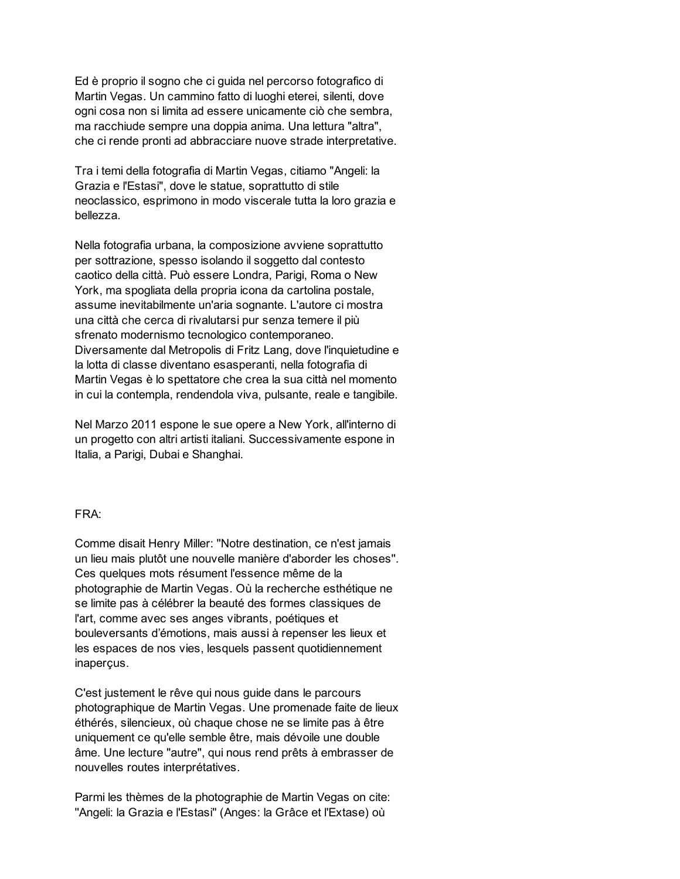Ed è proprio il sogno che ci guida nel percorso fotografico di Martin Vegas. Un cammino fatto di luoghi eterei, silenti, dove ogni cosa non si limita ad essere unicamente ciò che sembra, ma racchiude sempre una doppia anima. Una lettura "altra", che ci rende pronti ad abbracciare nuove strade interpretative.

Tra i temi della fotografia di Martin Vegas, citiamo "Angeli: la Grazia e l'Estasi", dove le statue, soprattutto di stile neoclassico, esprimono in modo viscerale tutta la loro grazia e bellezza.

Nella fotografia urbana, la composizione avviene soprattutto per sottrazione, spesso isolando il soggetto dal contesto caotico della città. Può essere Londra, Parigi, Roma o New York, ma spogliata della propria icona da cartolina postale, assume inevitabilmente un'aria sognante. L'autore ci mostra una città che cerca di rivalutarsi pur senza temere il più sfrenato modernismo tecnologico contemporaneo. Diversamente dal Metropolis di Fritz Lang, dove l'inquietudine e la lotta di classe diventano esasperanti, nella fotografia di Martin Vegas è lo spettatore che crea la sua città nel momento in cui la contempla, rendendola viva, pulsante, reale e tangibile.

Nel Marzo 2011 espone le sue opere a New York, all'interno di un progetto con altri artisti italiani. Successivamente espone in Italia, a Parigi, Dubai e Shanghai.

#### FRA:

Comme disait Henry Miller: ''Notre destination, ce n'est jamais un lieu mais plutôt une nouvelle manière d'aborder les choses''. Ces quelques mots résument l'essence même de la photographie de Martin Vegas. Où la recherche esthétique ne se limite pas à célébrer la beauté des formes classiques de l'art, comme avec ses anges vibrants, poétiques et bouleversants d'émotions, mais aussi à repenser les lieux et les espaces de nos vies, lesquels passent quotidiennement inaperçus.

C'est justement le rêve qui nous guide dans le parcours photographique de Martin Vegas. Une promenade faite de lieux éthérés, silencieux, où chaque chose ne se limite pas à être uniquement ce qu'elle semble être, mais dévoile une double âme. Une lecture ''autre'', qui nous rend prêts à embrasser de nouvelles routes interprétatives.

Parmi les thèmes de la photographie de Martin Vegas on cite: ''Angeli: la Grazia e l'Estasi'' (Anges: la Grâce et l'Extase) où